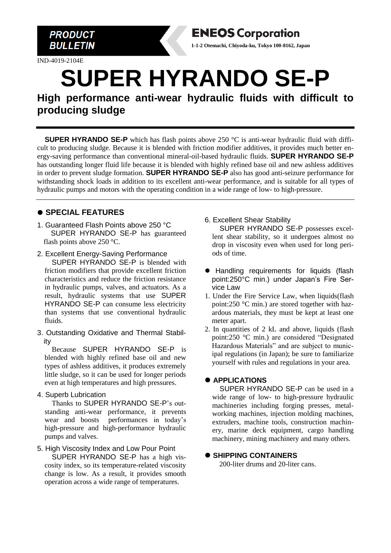

IND-4019-2104E



# **SUPER HYRANDO SE-P**

**High performance anti-wear hydraulic fluids with difficult to producing sludge**

**SUPER HYRANDO SE-P** which has flash points above 250 °C is anti-wear hydraulic fluid with difficult to producing sludge. Because it is blended with friction modifier additives, it provides much better energy-saving performance than conventional mineral-oil-based hydraulic fluids. **SUPER HYRANDO SE-P** has outstanding longer fluid life because it is blended with highly refined base oil and new ashless additives in order to prevent sludge formation. **SUPER HYRANDO SE-P** also has good anti-seizure performance for withstanding shock loads in addition to its excellent anti-wear performance, and is suitable for all types of hydraulic pumps and motors with the operating condition in a wide range of low- to high-pressure.

## ⚫ **SPECIAL FEATURES**

- 1. Guaranteed Flash Points above 250 °C SUPER HYRANDO SE-P has guaranteed flash points above 250 °C.
- 2. Excellent Energy-Saving Performance SUPER HYRANDO SE-P is blended with friction modifiers that provide excellent friction characteristics and reduce the friction resistance in hydraulic pumps, valves, and actuators. As a result, hydraulic systems that use SUPER HYRANDO SE-P can consume less electricity than systems that use conventional hydraulic fluids.
- 3. Outstanding Oxidative and Thermal Stability

Because SUPER HYRANDO SE-P is blended with highly refined base oil and new types of ashless additives, it produces extremely little sludge, so it can be used for longer periods even at high temperatures and high pressures.

#### 4. Superb Lubrication

Thanks to SUPER HYRANDO SE-P's outstanding anti-wear performance, it prevents wear and boosts performances in today's high-pressure and high-performance hydraulic pumps and valves.

#### 5. High Viscosity Index and Low Pour Point

SUPER HYRANDO SE-P has a high viscosity index, so its temperature-related viscosity change is low. As a result, it provides smooth operation across a wide range of temperatures.

#### 6. Excellent Shear Stability

SUPER HYRANDO SE-P possesses excellent shear stability, so it undergoes almost no drop in viscosity even when used for long periods of time.

- ⚫ Handling requirements for liquids (flash point:250°C min.) under Japan's Fire Service Law
- 1. Under the Fire Service Law, when liquids(flash point:250 °C min.) are stored together with hazardous materials, they must be kept at least one meter apart.
- 2. In quantities of 2 kL and above, liquids (flash point:250 °C min.) are considered "Designated Hazardous Materials" and are subject to municipal regulations (in Japan); be sure to familiarize yourself with rules and regulations in your area.

#### ⚫ **APPLICATIONS**

SUPER HYRANDO SE-P can be used in a wide range of low- to high-pressure hydraulic machineries including forging presses, metalworking machines, injection molding machines, extruders, machine tools, construction machinery, marine deck equipment, cargo handling machinery, mining machinery and many others.

#### ⚫ **SHIPPING CONTAINERS**

200-liter drums and 20-liter cans.